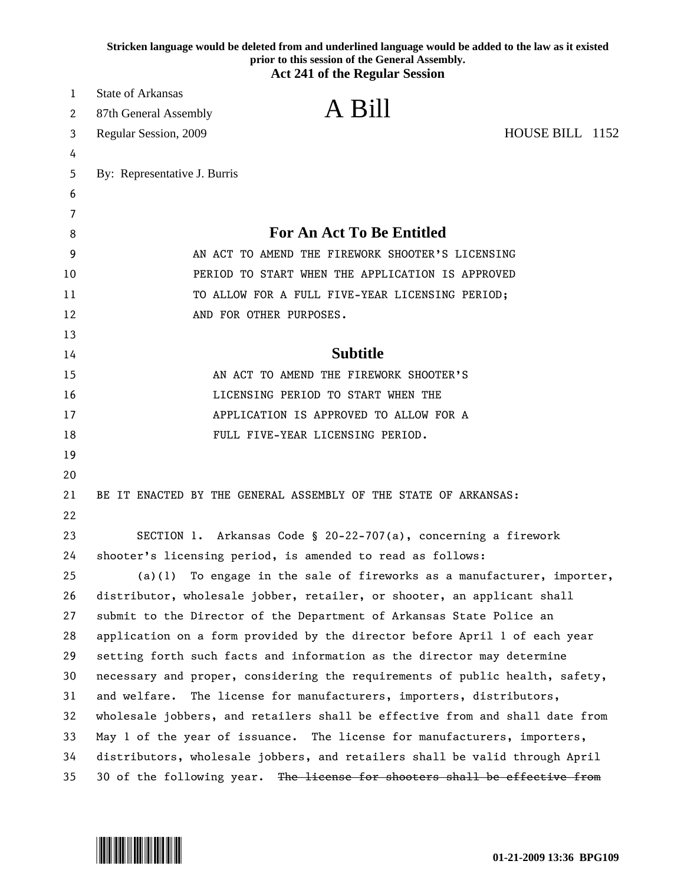|    | Stricken language would be deleted from and underlined language would be added to the law as it existed<br>prior to this session of the General Assembly.<br><b>Act 241 of the Regular Session</b> |  |
|----|----------------------------------------------------------------------------------------------------------------------------------------------------------------------------------------------------|--|
| 1  | <b>State of Arkansas</b>                                                                                                                                                                           |  |
| 2  | A Bill<br>87th General Assembly                                                                                                                                                                    |  |
| 3  | HOUSE BILL 1152<br>Regular Session, 2009                                                                                                                                                           |  |
| 4  |                                                                                                                                                                                                    |  |
| 5  | By: Representative J. Burris                                                                                                                                                                       |  |
| 6  |                                                                                                                                                                                                    |  |
| 7  |                                                                                                                                                                                                    |  |
| 8  | <b>For An Act To Be Entitled</b>                                                                                                                                                                   |  |
| 9  | AN ACT TO AMEND THE FIREWORK SHOOTER'S LICENSING                                                                                                                                                   |  |
| 10 | PERIOD TO START WHEN THE APPLICATION IS APPROVED                                                                                                                                                   |  |
| 11 | TO ALLOW FOR A FULL FIVE-YEAR LICENSING PERIOD;                                                                                                                                                    |  |
| 12 | AND FOR OTHER PURPOSES.                                                                                                                                                                            |  |
| 13 |                                                                                                                                                                                                    |  |
| 14 | <b>Subtitle</b>                                                                                                                                                                                    |  |
| 15 | AN ACT TO AMEND THE FIREWORK SHOOTER'S                                                                                                                                                             |  |
| 16 | LICENSING PERIOD TO START WHEN THE                                                                                                                                                                 |  |
| 17 | APPLICATION IS APPROVED TO ALLOW FOR A                                                                                                                                                             |  |
| 18 | FULL FIVE-YEAR LICENSING PERIOD.                                                                                                                                                                   |  |
| 19 |                                                                                                                                                                                                    |  |
| 20 |                                                                                                                                                                                                    |  |
| 21 | BE IT ENACTED BY THE GENERAL ASSEMBLY OF THE STATE OF ARKANSAS:                                                                                                                                    |  |
| 22 |                                                                                                                                                                                                    |  |
| 23 | SECTION 1. Arkansas Code § 20-22-707(a), concerning a firework                                                                                                                                     |  |
| 24 | shooter's licensing period, is amended to read as follows:                                                                                                                                         |  |
| 25 | $(a)(1)$ To engage in the sale of fireworks as a manufacturer, importer,                                                                                                                           |  |
| 26 | distributor, wholesale jobber, retailer, or shooter, an applicant shall                                                                                                                            |  |
| 27 | submit to the Director of the Department of Arkansas State Police an                                                                                                                               |  |
| 28 | application on a form provided by the director before April 1 of each year                                                                                                                         |  |
| 29 | setting forth such facts and information as the director may determine                                                                                                                             |  |
| 30 | necessary and proper, considering the requirements of public health, safety,                                                                                                                       |  |
| 31 | and welfare. The license for manufacturers, importers, distributors,                                                                                                                               |  |
| 32 | wholesale jobbers, and retailers shall be effective from and shall date from                                                                                                                       |  |
| 33 | May 1 of the year of issuance. The license for manufacturers, importers,                                                                                                                           |  |
| 34 | distributors, wholesale jobbers, and retailers shall be valid through April                                                                                                                        |  |
| 35 | 30 of the following year. The license for shooters shall be effective from                                                                                                                         |  |